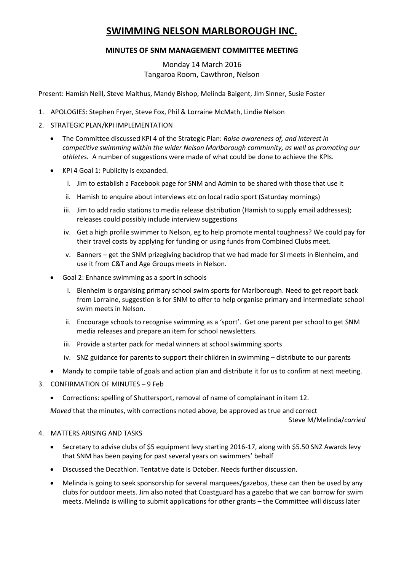# **SWIMMING NELSON MARLBOROUGH INC.**

## **MINUTES OF SNM MANAGEMENT COMMITTEE MEETING**

Monday 14 March 2016 Tangaroa Room, Cawthron, Nelson

Present: Hamish Neill, Steve Malthus, Mandy Bishop, Melinda Baigent, Jim Sinner, Susie Foster

- 1. APOLOGIES: Stephen Fryer, Steve Fox, Phil & Lorraine McMath, Lindie Nelson
- 2. STRATEGIC PLAN/KPI IMPLEMENTATION
	- The Committee discussed KPI 4 of the Strategic Plan: *Raise awareness of, and interest in competitive swimming within the wider Nelson Marlborough community, as well as promoting our athletes.* A number of suggestions were made of what could be done to achieve the KPIs.
	- KPI 4 Goal 1: Publicity is expanded.
		- i. Jim to establish a Facebook page for SNM and Admin to be shared with those that use it
		- ii. Hamish to enquire about interviews etc on local radio sport (Saturday mornings)
		- iii. Jim to add radio stations to media release distribution (Hamish to supply email addresses); releases could possibly include interview suggestions
		- iv. Get a high profile swimmer to Nelson, eg to help promote mental toughness? We could pay for their travel costs by applying for funding or using funds from Combined Clubs meet.
		- v. Banners get the SNM prizegiving backdrop that we had made for SI meets in Blenheim, and use it from C&T and Age Groups meets in Nelson.
	- Goal 2: Enhance swimming as a sport in schools
		- i. Blenheim is organising primary school swim sports for Marlborough. Need to get report back from Lorraine, suggestion is for SNM to offer to help organise primary and intermediate school swim meets in Nelson.
		- ii. Encourage schools to recognise swimming as a 'sport'. Get one parent per school to get SNM media releases and prepare an item for school newsletters.
		- iii. Provide a starter pack for medal winners at school swimming sports
		- iv. SNZ guidance for parents to support their children in swimming distribute to our parents
	- Mandy to compile table of goals and action plan and distribute it for us to confirm at next meeting.
- 3. CONFIRMATION OF MINUTES 9 Feb
	- Corrections: spelling of Shuttersport, removal of name of complainant in item 12.

*Moved* that the minutes, with corrections noted above, be approved as true and correct

Steve M/Melinda/*carried*

#### 4. MATTERS ARISING AND TASKS

- Secretary to advise clubs of \$5 equipment levy starting 2016-17, along with \$5.50 SNZ Awards levy that SNM has been paying for past several years on swimmers' behalf
- Discussed the Decathlon. Tentative date is October. Needs further discussion.
- Melinda is going to seek sponsorship for several marquees/gazebos, these can then be used by any clubs for outdoor meets. Jim also noted that Coastguard has a gazebo that we can borrow for swim meets. Melinda is willing to submit applications for other grants – the Committee will discuss later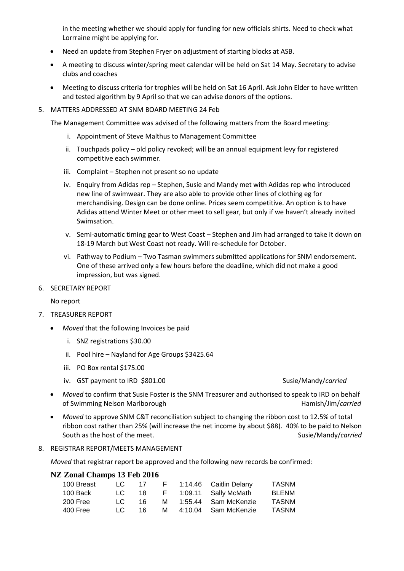in the meeting whether we should apply for funding for new officials shirts. Need to check what Lorrraine might be applying for.

- Need an update from Stephen Fryer on adjustment of starting blocks at ASB.
- A meeting to discuss winter/spring meet calendar will be held on Sat 14 May. Secretary to advise clubs and coaches
- Meeting to discuss criteria for trophies will be held on Sat 16 April. Ask John Elder to have written and tested algorithm by 9 April so that we can advise donors of the options.
- 5. MATTERS ADDRESSED AT SNM BOARD MEETING 24 Feb

The Management Committee was advised of the following matters from the Board meeting:

- i. Appointment of Steve Malthus to Management Committee
- ii. Touchpads policy old policy revoked; will be an annual equipment levy for registered competitive each swimmer.
- iii. Complaint Stephen not present so no update
- iv. Enquiry from Adidas rep Stephen, Susie and Mandy met with Adidas rep who introduced new line of swimwear. They are also able to provide other lines of clothing eg for merchandising. Design can be done online. Prices seem competitive. An option is to have Adidas attend Winter Meet or other meet to sell gear, but only if we haven't already invited Swimsation.
- v. Semi-automatic timing gear to West Coast Stephen and Jim had arranged to take it down on 18-19 March but West Coast not ready. Will re-schedule for October.
- vi. Pathway to Podium Two Tasman swimmers submitted applications for SNM endorsement. One of these arrived only a few hours before the deadline, which did not make a good impression, but was signed.
- 6. SECRETARY REPORT

No report

- 7. TREASURER REPORT
	- *Moved* that the following Invoices be paid
		- i. SNZ registrations \$30.00
		- ii. Pool hire Nayland for Age Groups \$3425.64
		- iii. PO Box rental \$175.00
		- iv. GST payment to IRD \$801.00

- *Moved* to confirm that Susie Foster is the SNM Treasurer and authorised to speak to IRD on behalf of Swimming Nelson Marlborough **Hamish/Jim/carried** Hamish/Jim/*carried*
- *Moved* to approve SNM C&T reconciliation subject to changing the ribbon cost to 12.5% of total ribbon cost rather than 25% (will increase the net income by about \$88). 40% to be paid to Nelson South as the host of the meet. Susie/Mandy/*carried* Susie/Mandy/*carried*
- 8. REGISTRAR REPORT/MEETS MANAGEMENT

*Moved* that registrar report be approved and the following new records be confirmed:

### **NZ Zonal Champs 13 Feb 2016**

| 100 Breast | LC - | 17  |   | F 1:14.46 Caitlin Delany | <b>TASNM</b> |
|------------|------|-----|---|--------------------------|--------------|
| 100 Back   | LC - | 18  |   | F 1:09.11 Sally McMath   | <b>BLENM</b> |
| 200 Free   | LC - | 16. |   | M 1:55.44 Sam McKenzie   | TASNM        |
| 400 Free   | TC   | 16. | м | 4:10.04 Sam McKenzie     | <b>TASNM</b> |